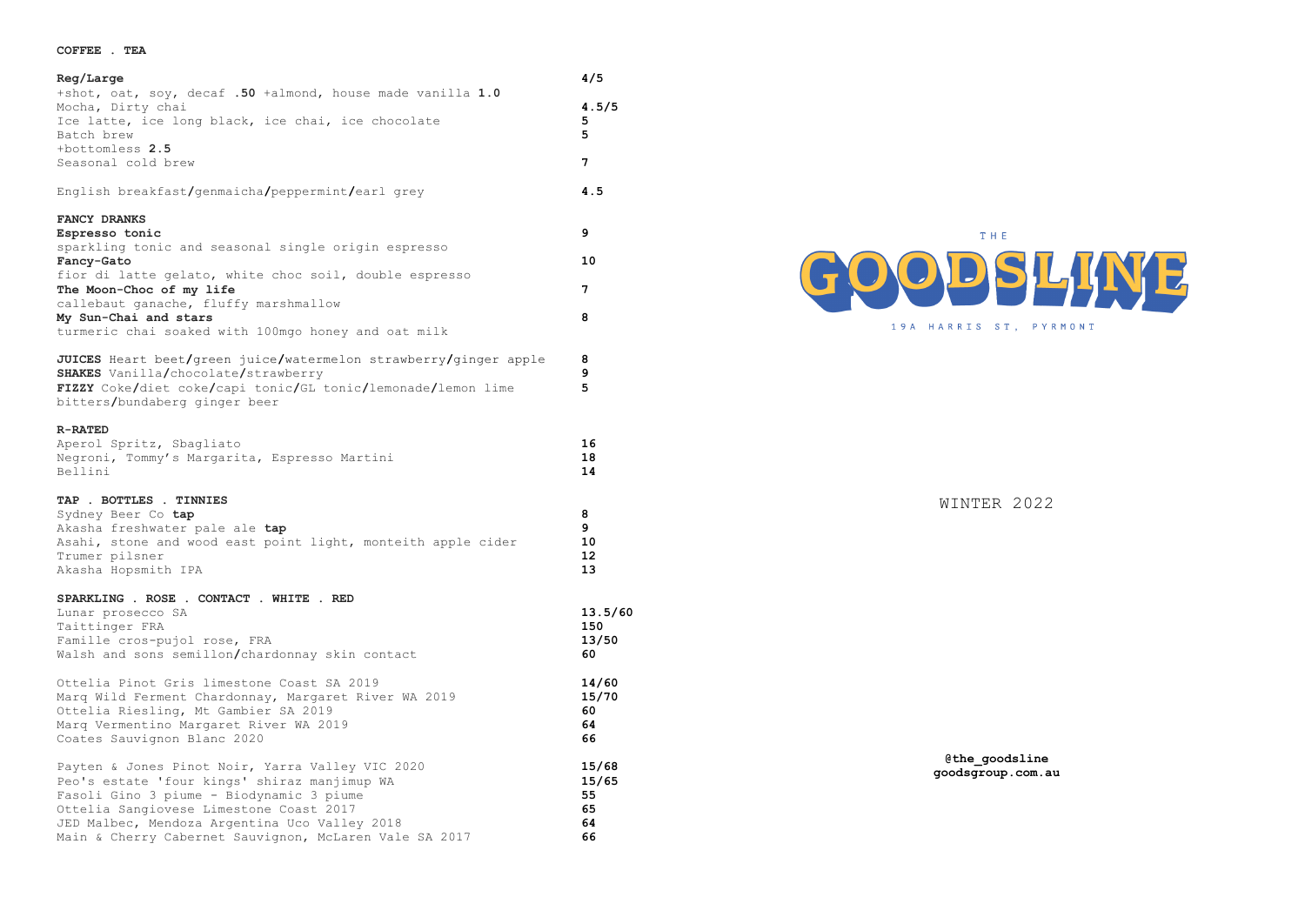## **COFFEE . TEA**

| Reg/Large                                                                                                                                                                                                                                                                                          | 4/5                                    |
|----------------------------------------------------------------------------------------------------------------------------------------------------------------------------------------------------------------------------------------------------------------------------------------------------|----------------------------------------|
| +shot, oat, soy, decaf .50 +almond, house made vanilla 1.0<br>Mocha, Dirty chai<br>Ice latte, ice long black, ice chai, ice chocolate<br>Batch brew                                                                                                                                                | 4.5/5<br>5<br>5                        |
| +bottomless 2.5<br>Seasonal cold brew                                                                                                                                                                                                                                                              | 7                                      |
| English breakfast/genmaicha/peppermint/earl grey                                                                                                                                                                                                                                                   | 4.5                                    |
| FANCY DRANKS<br>Espresso tonic<br>sparkling tonic and seasonal single origin espresso                                                                                                                                                                                                              | 9                                      |
| Fancy-Gato                                                                                                                                                                                                                                                                                         | 10                                     |
| fior di latte gelato, white choc soil, double espresso<br>The Moon-Choc of my life                                                                                                                                                                                                                 | 7                                      |
| callebaut ganache, fluffy marshmallow<br>My Sun-Chai and stars<br>turmeric chai soaked with 100mgo honey and oat milk                                                                                                                                                                              | 8                                      |
| JUICES Heart beet/green juice/watermelon strawberry/ginger apple<br><b>SHAKES</b> Vanilla/chocolate/strawberry<br>FIZZY Coke/diet coke/capi tonic/GL tonic/lemonade/lemon lime<br>bitters/bundaberg ginger beer                                                                                    | 8<br>9<br>5                            |
| <b>R-RATED</b><br>Aperol Spritz, Sbagliato<br>Negroni, Tommy's Margarita, Espresso Martini<br>Bellini                                                                                                                                                                                              | 16<br>18<br>14                         |
| TAP . BOTTLES . TINNIES<br>Sydney Beer Co tap<br>Akasha freshwater pale ale tap<br>Asahi, stone and wood east point light, monteith apple cider<br>Trumer pilsner<br>Akasha Hopsmith IPA                                                                                                           | 8<br>9<br>10<br>12<br>13               |
| SPARKLING . ROSE . CONTACT . WHITE . RED<br>Lunar prosecco SA<br>Taittinger FRA<br>Famille cros-pujol rose, FRA<br>Walsh and sons semillon/chardonnay skin contact                                                                                                                                 | 13.5/60<br>150<br>13/50<br>60          |
| Ottelia Pinot Gris limestone Coast SA 2019<br>Marq Wild Ferment Chardonnay, Margaret River WA 2019<br>Ottelia Riesling, Mt Gambier SA 2019<br>Marq Vermentino Margaret River WA 2019<br>Coates Sauvignon Blanc 2020                                                                                | 14/60<br>15/70<br>60<br>64<br>66       |
| Payten & Jones Pinot Noir, Yarra Valley VIC 2020<br>Peo's estate 'four kings' shiraz manjimup WA<br>Fasoli Gino 3 piume - Biodynamic 3 piume<br>Ottelia Sangiovese Limestone Coast 2017<br>JED Malbec, Mendoza Argentina Uco Valley 2018<br>Main & Cherry Cabernet Sauvignon, McLaren Vale SA 2017 | 15/68<br>15/65<br>55<br>65<br>64<br>66 |



WINTER 2022

**@the\_goodsline goodsgroup.com.au**